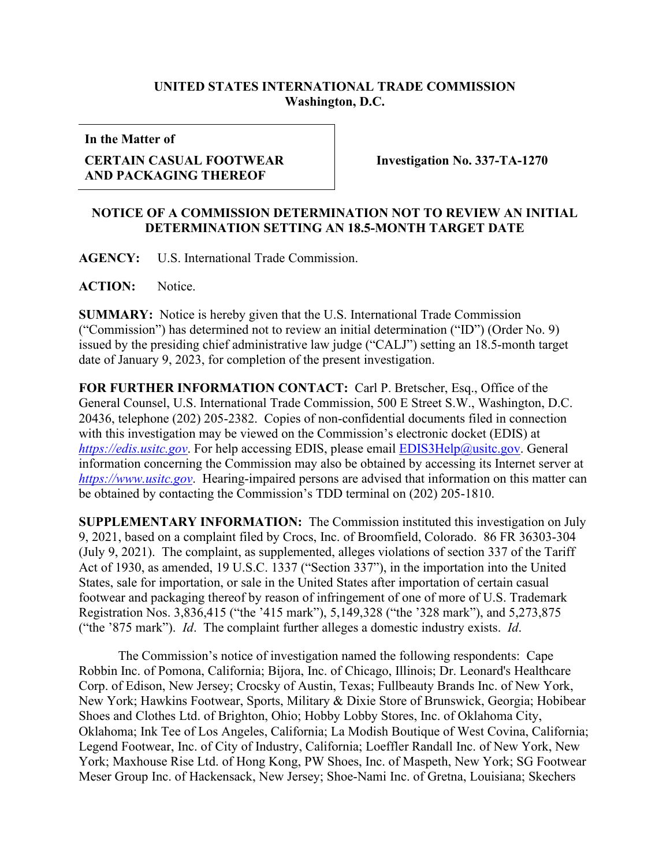## **UNITED STATES INTERNATIONAL TRADE COMMISSION Washington, D.C.**

**In the Matter of**

## **CERTAIN CASUAL FOOTWEAR AND PACKAGING THEREOF**

**Investigation No. 337-TA-1270**

## **NOTICE OF A COMMISSION DETERMINATION NOT TO REVIEW AN INITIAL DETERMINATION SETTING AN 18.5-MONTH TARGET DATE**

**AGENCY:** U.S. International Trade Commission.

ACTION: Notice.

**SUMMARY:** Notice is hereby given that the U.S. International Trade Commission ("Commission") has determined not to review an initial determination ("ID") (Order No. 9) issued by the presiding chief administrative law judge ("CALJ") setting an 18.5-month target date of January 9, 2023, for completion of the present investigation.

**FOR FURTHER INFORMATION CONTACT:** Carl P. Bretscher, Esq., Office of the General Counsel, U.S. International Trade Commission, 500 E Street S.W., Washington, D.C. 20436, telephone (202) 205-2382. Copies of non-confidential documents filed in connection with this investigation may be viewed on the Commission's electronic docket (EDIS) at *[https://edis.usitc.gov](https://edis.usitc.gov/)*. For help accessing EDIS, please email [EDIS3Help@usitc.gov.](mailto:EDIS3Help@usitc.gov) General information concerning the Commission may also be obtained by accessing its Internet server at *[https://www.usitc.gov](https://www.usitc.gov/)*. Hearing-impaired persons are advised that information on this matter can be obtained by contacting the Commission's TDD terminal on (202) 205-1810.

**SUPPLEMENTARY INFORMATION:** The Commission instituted this investigation on July 9, 2021, based on a complaint filed by Crocs, Inc. of Broomfield, Colorado. 86 FR 36303-304 (July 9, 2021). The complaint, as supplemented, alleges violations of section 337 of the Tariff Act of 1930, as amended, 19 U.S.C. 1337 ("Section 337"), in the importation into the United States, sale for importation, or sale in the United States after importation of certain casual footwear and packaging thereof by reason of infringement of one of more of U.S. Trademark Registration Nos. 3,836,415 ("the '415 mark"), 5,149,328 ("the '328 mark"), and 5,273,875 ("the '875 mark"). *Id*. The complaint further alleges a domestic industry exists. *Id*.

The Commission's notice of investigation named the following respondents: Cape Robbin Inc. of Pomona, California; Bijora, Inc. of Chicago, Illinois; Dr. Leonard's Healthcare Corp. of Edison, New Jersey; Crocsky of Austin, Texas; Fullbeauty Brands Inc. of New York, New York; Hawkins Footwear, Sports, Military & Dixie Store of Brunswick, Georgia; Hobibear Shoes and Clothes Ltd. of Brighton, Ohio; Hobby Lobby Stores, Inc. of Oklahoma City, Oklahoma; Ink Tee of Los Angeles, California; La Modish Boutique of West Covina, California; Legend Footwear, Inc. of City of Industry, California; Loeffler Randall Inc. of New York, New York; Maxhouse Rise Ltd. of Hong Kong, PW Shoes, Inc. of Maspeth, New York; SG Footwear Meser Group Inc. of Hackensack, New Jersey; Shoe-Nami Inc. of Gretna, Louisiana; Skechers